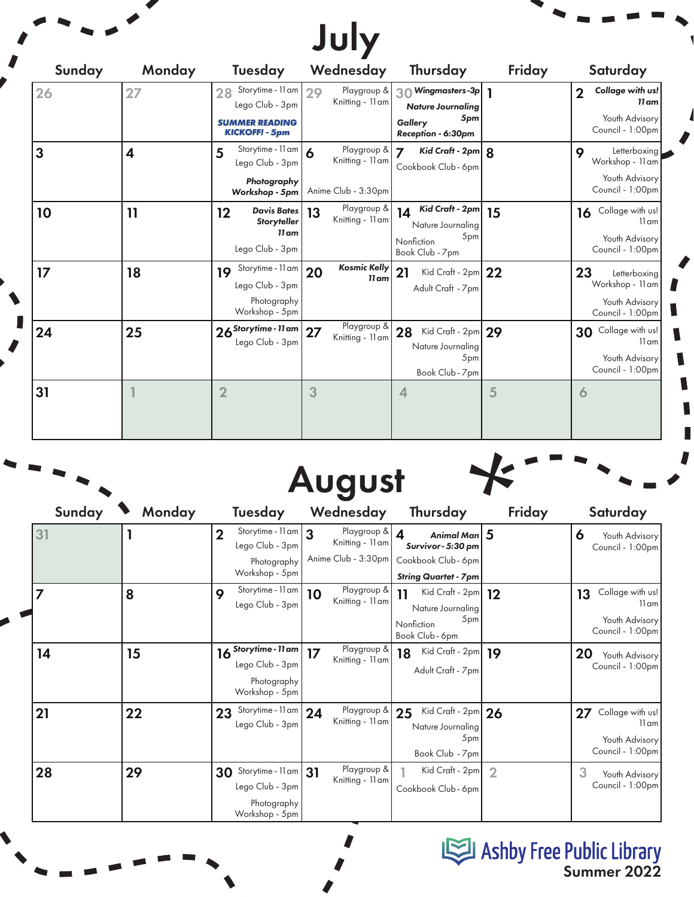| lUl |  |
|-----|--|
|-----|--|

| Sunday | Monday           | Tuesday                                                                                   | Wednesday                                                                | Thursday                                                                                  | Friday | Saturday                                                                        |
|--------|------------------|-------------------------------------------------------------------------------------------|--------------------------------------------------------------------------|-------------------------------------------------------------------------------------------|--------|---------------------------------------------------------------------------------|
| 26     | 27               | 28 Storytime - 11 am<br>Lego Club - 3pm<br><b>SUMMER READING</b><br><b>KICKOFF! - 5pm</b> | Playgroup &<br>29<br>Knitting - 11 am                                    | 30 Wingmasters-3p   1<br><b>Nature Journaling</b><br>5pm<br>Gallery<br>Reception - 6:30pm |        | Collage with us!<br>$\mathbf{2}$<br>11 am<br>Youth Advisory<br>Council - 1:00pm |
| 3      | $\boldsymbol{4}$ | Storytime - 11 am<br>5<br>Lego Club - 3pm<br>Photography<br>Workshop - 5pm                | Playgroup &<br>$\overline{6}$<br>Knitting - 11 am<br>Anime Club - 3:30pm | Kid Craft - $2pm \$<br>$\overline{7}$<br>Cookbook Club - 6pm                              |        | Letterboxing<br>9<br>Workshop - 11 am<br>Youth Advisory<br>Council - 1:00pm     |
| 10     | 11               | <b>Davis Bates</b><br>12<br>Storyteller<br>11 am<br>Lego Club - 3pm                       | Playgroup &<br>13<br>Knitting - 11 am                                    | Kid Craft - $2pm$ 15<br>14<br>Nature Journaling<br>5pm<br>Nonfiction<br>Book Club - 7pm   |        | Collage with us!<br>16<br>$11 \text{ cm}$<br>Youth Advisory<br>Council - 1:00pm |
| 17     | 18               | $19$ Storytime - $11$ am<br>Lego Club - 3pm<br>Photography<br>Workshop - 5pm              | Kosmic Kelly<br>20<br>11 am                                              | 21<br>Kid Craft - $2$ pm $22$<br>Adult Craft - 7pm                                        |        | 23<br>Letterboxing<br>Workshop - 11 am<br>Youth Advisory<br>Council - 1:00pm    |
| 24     | 25               | $26^{Storytime - 11am}$ 27<br>Lego Club - 3pm                                             | Playgroup &<br>Knitting - 11 am                                          | 28<br>Kid Craft - $2$ pm $29$<br>Nature Journaling<br>5pm<br>Book Club - 7pm              |        | 30 Collage with us!<br>11 <sub>am</sub><br>Youth Advisory<br>Council - 1:00pm   |
| 31     |                  | $\overline{2}$                                                                            | 3                                                                        | 4                                                                                         | 5      | 6                                                                               |

|        |        |                                                                                                       | August                                                        |                                                                                        |                |                                                                                  |
|--------|--------|-------------------------------------------------------------------------------------------------------|---------------------------------------------------------------|----------------------------------------------------------------------------------------|----------------|----------------------------------------------------------------------------------|
| Sunday | Monday | <b>Tuesday</b>                                                                                        | Wednesday                                                     | <b>Thursday</b>                                                                        | Friday         | Saturday                                                                         |
| 31     |        | Storytime - $11$ am $\mid$ 3<br>$\mathbf{\Omega}$<br>Lego Club - 3pm<br>Photography<br>Workshop - 5pm | Playgroup $\&$   4<br>Knitting - 11 am<br>Anime Club - 3:30pm | Animal Man<br>Survivor - 5:30 pm<br>Cookbook Club - 6pm<br><b>String Quartet - 7pm</b> | 5              | 6<br>Youth Advisory<br>Council - 1:00pm                                          |
|        | 8      | Storytime - 11 am<br>Q<br>Lego Club - 3pm                                                             | Playgroup &<br>10<br>Knitting - 11 am                         | Kid Craft - 2pm 12<br>11<br>Nature Journaling<br>5pm<br>Nonfiction<br>Book Club - 6pm  |                | Collage with us!<br>13<br>11 <sub>cm</sub><br>Youth Advisory<br>Council - 1:00pm |
| 14     | 15     | $16$ Storytime - $11$ am<br>Lego Club - 3pm<br>Photography<br>Workshop - 5pm                          | Playgroup &<br>17<br>Knitting - 11 am                         | Kid Craft - 2pm<br>18<br>Adult Craft - 7pm                                             | 19             | 20<br>Youth Advisory<br>Council - 1:00pm                                         |
| 21     | 22     | $23$ Storytime - 11 am   $24$<br>Lego Club - 3pm                                                      | Playgroup &<br>Knitting - 11 am                               | 25<br>Kid Craft - 2pm 26<br>Nature Journaling<br>5pm<br>Book Club - 7pm                |                | 27 Collage with us!<br>11 <sub>cm</sub><br>Youth Advisory<br>Council - 1:00pm    |
| 28     | 29     | $30$ Storytime - 11 am   $31$<br>Lego Club - 3pm<br>Photography<br>Workshop - 5pm                     | Playgroup &<br>Knitting - 11 am                               | Kid Craft - 2pm<br>Cookbook Club - 6pm                                                 | $\overline{2}$ | 3<br>Youth Advisory<br>Council - 1:00pm                                          |



1

1